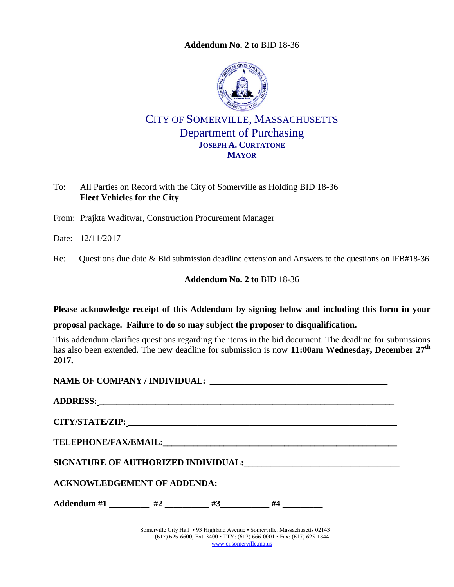**Addendum No. 2 to** [BID 18-36](#page-0-0)



## CITY OF SOMERVILLE, MASSACHUSETTS Department of Purchasing **JOSEPH A. CURTATONE MAYOR**

To: All Parties on Record with the City of Somerville as Holding BID 18-36 **Fleet Vehicles for the City**

From: Prajkta Waditwar, Construction Procurement Manager

Date: 12/11/2017

Re: Questions due date & Bid submission deadline extension and Answers to the questions on IFB#18-36

<span id="page-0-0"></span>**Addendum No. 2 to** [BID 18-36](#page-0-0)

**Please acknowledge receipt of this Addendum by signing below and including this form in your** 

**proposal package. Failure to do so may subject the proposer to disqualification.**

This addendum clarifies questions regarding the items in the bid document. The deadline for submissions has also been extended. The new deadline for submission is now **11:00am Wednesday, December 27th 2017.**

| ADDRESS: North Contract of the Contract of the Contract of the Contract of the Contract of the Contract of the Contract of the Contract of the Contract of the Contract of the Contract of the Contract of the Contract of the |  |  |                                                                             |  |  |
|--------------------------------------------------------------------------------------------------------------------------------------------------------------------------------------------------------------------------------|--|--|-----------------------------------------------------------------------------|--|--|
|                                                                                                                                                                                                                                |  |  |                                                                             |  |  |
|                                                                                                                                                                                                                                |  |  |                                                                             |  |  |
| SIGNATURE OF AUTHORIZED INDIVIDUAL: The contract of the contract of the contract of the contract of the contract of the contract of the contract of the contract of the contract of the contract of the contract of the contra |  |  |                                                                             |  |  |
| <b>ACKNOWLEDGEMENT OF ADDENDA:</b>                                                                                                                                                                                             |  |  |                                                                             |  |  |
| Addendum #1 _________ #2 ________ #3 ________ #4 ________                                                                                                                                                                      |  |  |                                                                             |  |  |
|                                                                                                                                                                                                                                |  |  | Somerville City Hall • 93 Highland Avenue • Somerville, Massachusetts 02143 |  |  |

(617) 625-6600, Ext. 3400 • TTY: (617) 666-0001 • Fax: (617) 625-1344 [www.ci.somerville.ma.us](http://www.ci.somerville.ma.us/)